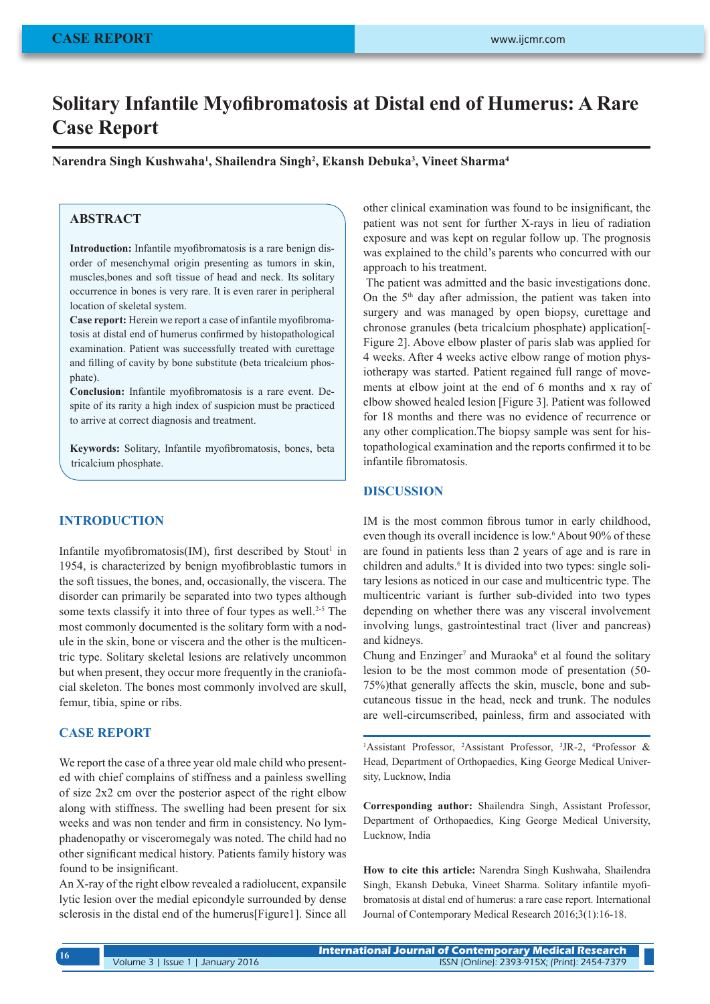# **Solitary Infantile Myofibromatosis at Distal end of Humerus: A Rare Case Report**

**Narendra Singh Kushwaha<sup>1</sup> , Shailendra Singh<sup>2</sup> , Ekansh Debuka<sup>3</sup> , Vineet Sharma<sup>4</sup>**

# **ABSTRACT**

**Introduction:** Infantile myofibromatosis is a rare benign disorder of mesenchymal origin presenting as tumors in skin, muscles,bones and soft tissue of head and neck. Its solitary occurrence in bones is very rare. It is even rarer in peripheral location of skeletal system.

**Case report:** Herein we report a case of infantile myofibromatosis at distal end of humerus confirmed by histopathological examination. Patient was successfully treated with curettage and filling of cavity by bone substitute (beta tricalcium phosphate).

**Conclusion:** Infantile myofibromatosis is a rare event. Despite of its rarity a high index of suspicion must be practiced to arrive at correct diagnosis and treatment.

**Keywords:** Solitary, Infantile myofibromatosis, bones, beta tricalcium phosphate.

#### **INTRODUCTION**

Infantile myofibromatosis(IM), first described by Stout<sup>1</sup> in 1954, is characterized by benign myofibroblastic tumors in the soft tissues, the bones, and, occasionally, the viscera. The disorder can primarily be separated into two types although some texts classify it into three of four types as well.<sup>2-5</sup> The most commonly documented is the solitary form with a nodule in the skin, bone or viscera and the other is the multicentric type. Solitary skeletal lesions are relatively uncommon but when present, they occur more frequently in the craniofacial skeleton. The bones most commonly involved are skull, femur, tibia, spine or ribs.

#### **CASE REPORT**

We report the case of a three year old male child who presented with chief complains of stiffness and a painless swelling of size 2x2 cm over the posterior aspect of the right elbow along with stiffness. The swelling had been present for six weeks and was non tender and firm in consistency. No lymphadenopathy or visceromegaly was noted. The child had no other significant medical history. Patients family history was found to be insignificant.

An X-ray of the right elbow revealed a radiolucent, expansile lytic lesion over the medial epicondyle surrounded by dense sclerosis in the distal end of the humerus[Figure1]. Since all other clinical examination was found to be insignificant, the patient was not sent for further X-rays in lieu of radiation exposure and was kept on regular follow up. The prognosis was explained to the child's parents who concurred with our approach to his treatment.

 The patient was admitted and the basic investigations done. On the  $5<sup>th</sup>$  day after admission, the patient was taken into surgery and was managed by open biopsy, curettage and chronose granules (beta tricalcium phosphate) application[- Figure 2]. Above elbow plaster of paris slab was applied for 4 weeks. After 4 weeks active elbow range of motion physiotherapy was started. Patient regained full range of movements at elbow joint at the end of 6 months and x ray of elbow showed healed lesion [Figure 3]. Patient was followed for 18 months and there was no evidence of recurrence or any other complication.The biopsy sample was sent for histopathological examination and the reports confirmed it to be infantile fibromatosis.

### **DISCUSSION**

IM is the most common fibrous tumor in early childhood, even though its overall incidence is low.<sup>6</sup> About 90% of these are found in patients less than 2 years of age and is rare in children and adults.<sup>6</sup> It is divided into two types: single solitary lesions as noticed in our case and multicentric type. The multicentric variant is further sub-divided into two types depending on whether there was any visceral involvement involving lungs, gastrointestinal tract (liver and pancreas) and kidneys.

Chung and Enzinger<sup>7</sup> and Muraoka<sup>8</sup> et al found the solitary lesion to be the most common mode of presentation (50- 75%)that generally affects the skin, muscle, bone and subcutaneous tissue in the head, neck and trunk. The nodules are well-circumscribed, painless, firm and associated with

<sup>1</sup>Assistant Professor, <sup>2</sup>Assistant Professor, <sup>3</sup>JR-2, <sup>4</sup>Professor & Head, Department of Orthopaedics, King George Medical University, Lucknow, India

**Corresponding author:** Shailendra Singh, Assistant Professor, Department of Orthopaedics, King George Medical University, Lucknow, India

**How to cite this article:** Narendra Singh Kushwaha, Shailendra Singh, Ekansh Debuka, Vineet Sharma. Solitary infantile myofibromatosis at distal end of humerus: a rare case report. International Journal of Contemporary Medical Research 2016;3(1):16-18.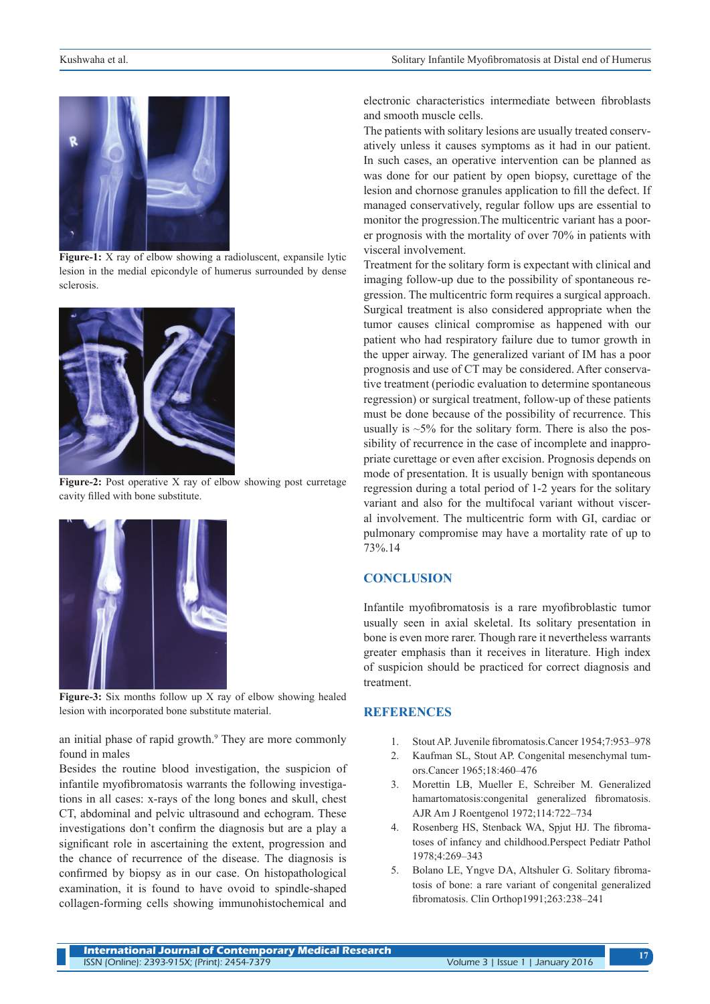

**Figure-1:** X ray of elbow showing a radioluscent, expansile lytic lesion in the medial epicondyle of humerus surrounded by dense sclerosis.



**Figure-2:** Post operative X ray of elbow showing post curretage cavity filled with bone substitute.



**Figure-3:** Six months follow up X ray of elbow showing healed lesion with incorporated bone substitute material.

an initial phase of rapid growth.<sup>9</sup> They are more commonly found in males

Besides the routine blood investigation, the suspicion of infantile myofibromatosis warrants the following investigations in all cases: x-rays of the long bones and skull, chest CT, abdominal and pelvic ultrasound and echogram. These investigations don't confirm the diagnosis but are a play a significant role in ascertaining the extent, progression and the chance of recurrence of the disease. The diagnosis is confirmed by biopsy as in our case. On histopathological examination, it is found to have ovoid to spindle-shaped collagen-forming cells showing immunohistochemical and electronic characteristics intermediate between fibroblasts and smooth muscle cells.

The patients with solitary lesions are usually treated conservatively unless it causes symptoms as it had in our patient. In such cases, an operative intervention can be planned as was done for our patient by open biopsy, curettage of the lesion and chornose granules application to fill the defect. If managed conservatively, regular follow ups are essential to monitor the progression.The multicentric variant has a poorer prognosis with the mortality of over 70% in patients with visceral involvement.

Treatment for the solitary form is expectant with clinical and imaging follow-up due to the possibility of spontaneous regression. The multicentric form requires a surgical approach. Surgical treatment is also considered appropriate when the tumor causes clinical compromise as happened with our patient who had respiratory failure due to tumor growth in the upper airway. The generalized variant of IM has a poor prognosis and use of CT may be considered. After conservative treatment (periodic evaluation to determine spontaneous regression) or surgical treatment, follow-up of these patients must be done because of the possibility of recurrence. This usually is  $\sim$ 5% for the solitary form. There is also the possibility of recurrence in the case of incomplete and inappropriate curettage or even after excision. Prognosis depends on mode of presentation. It is usually benign with spontaneous regression during a total period of 1-2 years for the solitary variant and also for the multifocal variant without visceral involvement. The multicentric form with GI, cardiac or pulmonary compromise may have a mortality rate of up to 73%.14

## **CONCLUSION**

Infantile myofibromatosis is a rare myofibroblastic tumor usually seen in axial skeletal. Its solitary presentation in bone is even more rarer. Though rare it nevertheless warrants greater emphasis than it receives in literature. High index of suspicion should be practiced for correct diagnosis and treatment.

#### **REFERENCES**

- 1. Stout AP. Juvenile fibromatosis.Cancer 1954;7:953–978
- 2. Kaufman SL, Stout AP. Congenital mesenchymal tumors.Cancer 1965;18:460–476
- 3. Morettin LB, Mueller E, Schreiber M. Generalized hamartomatosis:congenital generalized fibromatosis. AJR Am J Roentgenol 1972;114:722–734
- 4. Rosenberg HS, Stenback WA, Spjut HJ. The fibromatoses of infancy and childhood.Perspect Pediatr Pathol 1978;4:269–343
- 5. Bolano LE, Yngve DA, Altshuler G. Solitary fibromatosis of bone: a rare variant of congenital generalized fibromatosis. Clin Orthop1991;263:238–241